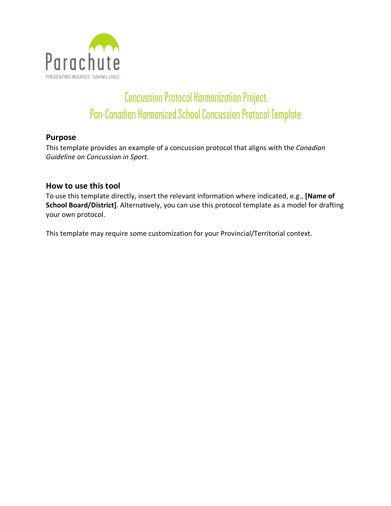

# Concussion Protocol Harmonization Project: Pan-Canadian Harmonized School Concussion Protocol Template

# **Purpose**

This template provides an example of a concussion protocol that aligns with the *Canadian Guideline on Concussion in Sport*.

# **How to use this tool**

To use this template directly, insert the relevant information where indicated, e.g., **[Name of School Board/District]**. Alternatively, you can use this protocol template as a model for drafting your own protocol.

This template may require some customization for your Provincial/Territorial context.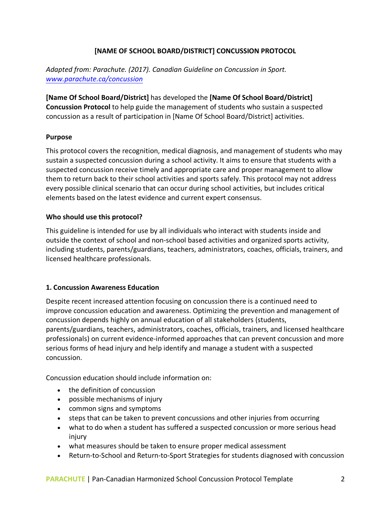## **[NAME OF SCHOOL BOARD/DISTRICT] CONCUSSION PROTOCOL**

*Adapted from: Parachute. (2017). Canadian Guideline on Concussion in Sport. www.parachute.ca/concussion*

**[Name Of School Board/District]** has developed the **[Name Of School Board/District] Concussion Protocol** to help guide the management of students who sustain a suspected concussion as a result of participation in [Name Of School Board/District] activities.

## **Purpose**

This protocol covers the recognition, medical diagnosis, and management of students who may sustain a suspected concussion during a school activity. It aims to ensure that students with a suspected concussion receive timely and appropriate care and proper management to allow them to return back to their school activities and sports safely. This protocol may not address every possible clinical scenario that can occur during school activities, but includes critical elements based on the latest evidence and current expert consensus.

## **Who should use this protocol?**

This guideline is intended for use by all individuals who interact with students inside and outside the context of school and non-school based activities and organized sports activity, including students, parents/guardians, teachers, administrators, coaches, officials, trainers, and licensed healthcare professionals.

## **1. Concussion Awareness Education**

Despite recent increased attention focusing on concussion there is a continued need to improve concussion education and awareness. Optimizing the prevention and management of concussion depends highly on annual education of all stakeholders (students, parents/guardians, teachers, administrators, coaches, officials, trainers, and licensed healthcare professionals) on current evidence-informed approaches that can prevent concussion and more serious forms of head injury and help identify and manage a student with a suspected concussion.

Concussion education should include information on:

- the definition of concussion
- possible mechanisms of injury
- common signs and symptoms
- steps that can be taken to prevent concussions and other injuries from occurring
- what to do when a student has suffered a suspected concussion or more serious head injury
- what measures should be taken to ensure proper medical assessment
- Return-to-School and Return-to-Sport Strategies for students diagnosed with concussion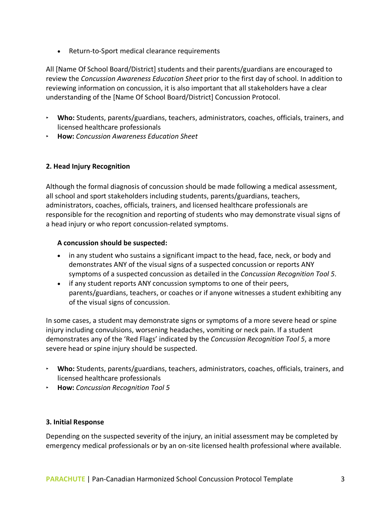• Return-to-Sport medical clearance requirements

All [Name Of School Board/District] students and their parents/guardians are encouraged to review the *Concussion Awareness Education Sheet* prior to the first day of school. In addition to reviewing information on concussion, it is also important that all stakeholders have a clear understanding of the [Name Of School Board/District] Concussion Protocol.

- ‣ **Who:** Students, parents/guardians, teachers, administrators, coaches, officials, trainers, and licensed healthcare professionals
- ‣ **How:** *Concussion Awareness Education Sheet*

## **2. Head Injury Recognition**

Although the formal diagnosis of concussion should be made following a medical assessment, all school and sport stakeholders including students, parents/guardians, teachers, administrators, coaches, officials, trainers, and licensed healthcare professionals are responsible for the recognition and reporting of students who may demonstrate visual signs of a head injury or who report concussion-related symptoms.

## **A concussion should be suspected:**

- in any student who sustains a significant impact to the head, face, neck, or body and demonstrates ANY of the visual signs of a suspected concussion or reports ANY symptoms of a suspected concussion as detailed in the *Concussion Recognition Tool 5*.
- if any student reports ANY concussion symptoms to one of their peers, parents/guardians, teachers, or coaches or if anyone witnesses a student exhibiting any of the visual signs of concussion.

In some cases, a student may demonstrate signs or symptoms of a more severe head or spine injury including convulsions, worsening headaches, vomiting or neck pain. If a student demonstrates any of the 'Red Flags' indicated by the *Concussion Recognition Tool 5*, a more severe head or spine injury should be suspected.

- ‣ **Who:** Students, parents/guardians, teachers, administrators, coaches, officials, trainers, and licensed healthcare professionals
- ‣ **How:** *Concussion Recognition Tool 5*

## **3. Initial Response**

Depending on the suspected severity of the injury, an initial assessment may be completed by emergency medical professionals or by an on-site licensed health professional where available.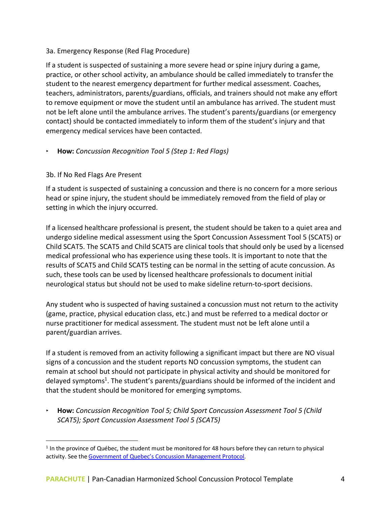## 3a. Emergency Response (Red Flag Procedure)

If a student is suspected of sustaining a more severe head or spine injury during a game, practice, or other school activity, an ambulance should be called immediately to transfer the student to the nearest emergency department for further medical assessment. Coaches, teachers, administrators, parents/guardians, officials, and trainers should not make any effort to remove equipment or move the student until an ambulance has arrived. The student must not be left alone until the ambulance arrives. The student's parents/guardians (or emergency contact) should be contacted immediately to inform them of the student's injury and that emergency medical services have been contacted.

# ‣ **How:** *Concussion Recognition Tool 5 (Step 1: Red Flags)*

## 3b. If No Red Flags Are Present

If a student is suspected of sustaining a concussion and there is no concern for a more serious head or spine injury, the student should be immediately removed from the field of play or setting in which the injury occurred.

If a licensed healthcare professional is present, the student should be taken to a quiet area and undergo sideline medical assessment using the Sport Concussion Assessment Tool 5 (SCAT5) or Child SCAT5. The SCAT5 and Child SCAT5 are clinical tools that should only be used by a licensed medical professional who has experience using these tools. It is important to note that the results of SCAT5 and Child SCAT5 testing can be normal in the setting of acute concussion. As such, these tools can be used by licensed healthcare professionals to document initial neurological status but should not be used to make sideline return-to-sport decisions.

Any student who is suspected of having sustained a concussion must not return to the activity (game, practice, physical education class, etc.) and must be referred to a medical doctor or nurse practitioner for medical assessment. The student must not be left alone until a parent/guardian arrives.

If a student is removed from an activity following a significant impact but there are NO visual signs of a concussion and the student reports NO concussion symptoms, the student can remain at school but should not participate in physical activity and should be monitored for delayed symptoms<sup>1</sup>. The student's parents/guardians should be informed of the incident and that the student should be monitored for emerging symptoms.

‣ **How:** *Concussion Recognition Tool 5; Child Sport Concussion Assessment Tool 5 (Child SCAT5); Sport Concussion Assessment Tool 5 (SCAT5)*

 $1$  In the province of Québec, the student must be monitored for 48 hours before they can return to physical activity. See the Government of Quebec's Concussion Management Protocol.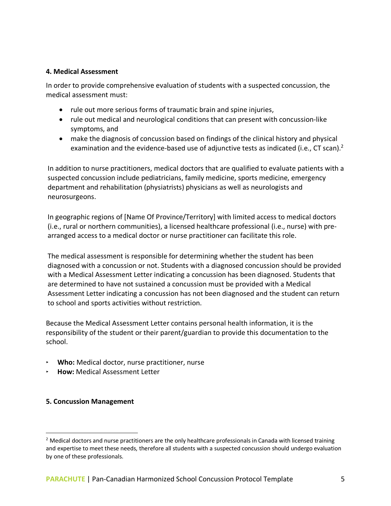#### **4. Medical Assessment**

In order to provide comprehensive evaluation of students with a suspected concussion, the medical assessment must:

- rule out more serious forms of traumatic brain and spine injuries,
- rule out medical and neurological conditions that can present with concussion-like symptoms, and
- make the diagnosis of concussion based on findings of the clinical history and physical examination and the evidence-based use of adjunctive tests as indicated (i.e., CT scan).<sup>2</sup>

In addition to nurse practitioners, medical doctors that are qualified to evaluate patients with a suspected concussion include pediatricians, family medicine, sports medicine, emergency department and rehabilitation (physiatrists) physicians as well as neurologists and neurosurgeons.

In geographic regions of [Name Of Province/Territory] with limited access to medical doctors (i.e., rural or northern communities), a licensed healthcare professional (i.e., nurse) with prearranged access to a medical doctor or nurse practitioner can facilitate this role.

The medical assessment is responsible for determining whether the student has been diagnosed with a concussion or not. Students with a diagnosed concussion should be provided with a Medical Assessment Letter indicating a concussion has been diagnosed. Students that are determined to have not sustained a concussion must be provided with a Medical Assessment Letter indicating a concussion has not been diagnosed and the student can return to school and sports activities without restriction.

Because the Medical Assessment Letter contains personal health information, it is the responsibility of the student or their parent/guardian to provide this documentation to the school.

- ‣ **Who:** Medical doctor, nurse practitioner, nurse
- ‣ **How:** Medical Assessment Letter

## **5. Concussion Management**

 $<sup>2</sup>$  Medical doctors and nurse practitioners are the only healthcare professionals in Canada with licensed training</sup> and expertise to meet these needs, therefore all students with a suspected concussion should undergo evaluation by one of these professionals.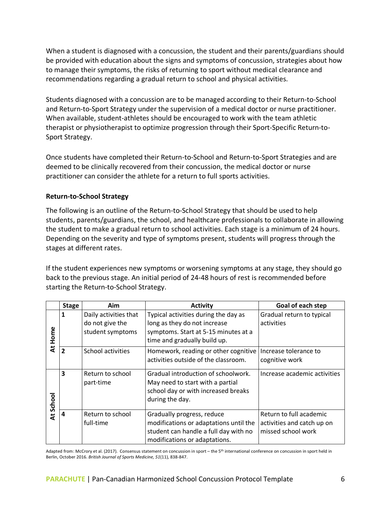When a student is diagnosed with a concussion, the student and their parents/guardians should be provided with education about the signs and symptoms of concussion, strategies about how to manage their symptoms, the risks of returning to sport without medical clearance and recommendations regarding a gradual return to school and physical activities.

Students diagnosed with a concussion are to be managed according to their Return-to-School and Return-to-Sport Strategy under the supervision of a medical doctor or nurse practitioner. When available, student-athletes should be encouraged to work with the team athletic therapist or physiotherapist to optimize progression through their Sport-Specific Return-to-Sport Strategy.

Once students have completed their Return-to-School and Return-to-Sport Strategies and are deemed to be clinically recovered from their concussion, the medical doctor or nurse practitioner can consider the athlete for a return to full sports activities.

## **Return-to-School Strategy**

The following is an outline of the Return-to-School Strategy that should be used to help students, parents/guardians, the school, and healthcare professionals to collaborate in allowing the student to make a gradual return to school activities. Each stage is a minimum of 24 hours. Depending on the severity and type of symptoms present, students will progress through the stages at different rates.

If the student experiences new symptoms or worsening symptoms at any stage, they should go back to the previous stage. An initial period of 24-48 hours of rest is recommended before starting the Return-to-School Strategy.

|           | <b>Stage</b>   | Aim                                                          | <b>Activity</b>                                                                                                                                | Goal of each step                                                           |
|-----------|----------------|--------------------------------------------------------------|------------------------------------------------------------------------------------------------------------------------------------------------|-----------------------------------------------------------------------------|
| At Home   | 1              | Daily activities that<br>do not give the<br>student symptoms | Typical activities during the day as<br>long as they do not increase<br>symptoms. Start at 5-15 minutes at a<br>time and gradually build up.   | Gradual return to typical<br>activities                                     |
|           | $\overline{2}$ | School activities                                            | Homework, reading or other cognitive<br>activities outside of the classroom.                                                                   | Increase tolerance to<br>cognitive work                                     |
| At School | 3              | Return to school<br>part-time                                | Gradual introduction of schoolwork.<br>May need to start with a partial<br>school day or with increased breaks<br>during the day.              | Increase academic activities                                                |
|           | 4              | Return to school<br>full-time                                | Gradually progress, reduce<br>modifications or adaptations until the<br>student can handle a full day with no<br>modifications or adaptations. | Return to full academic<br>activities and catch up on<br>missed school work |

Adapted from: McCrory et al. (2017). Consensus statement on concussion in sport – the 5<sup>th</sup> international conference on concussion in sport held in Berlin, October 2016. *British Journal of Sports Medicine, 51*(11), 838-847.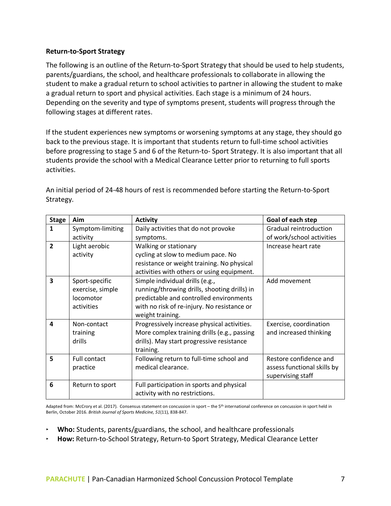## **Return-to-Sport Strategy**

The following is an outline of the Return-to-Sport Strategy that should be used to help students, parents/guardians, the school, and healthcare professionals to collaborate in allowing the student to make a gradual return to school activities to partner in allowing the student to make a gradual return to sport and physical activities. Each stage is a minimum of 24 hours. Depending on the severity and type of symptoms present, students will progress through the following stages at different rates.

If the student experiences new symptoms or worsening symptoms at any stage, they should go back to the previous stage. It is important that students return to full-time school activities before progressing to stage 5 and 6 of the Return-to- Sport Strategy. It is also important that all students provide the school with a Medical Clearance Letter prior to returning to full sports activities.

| <b>Stage</b>            | Aim              | <b>Activity</b>                              | Goal of each step           |
|-------------------------|------------------|----------------------------------------------|-----------------------------|
| 1                       | Symptom-limiting | Daily activities that do not provoke         | Gradual reintroduction      |
|                         | activity         | symptoms.                                    | of work/school activities   |
| $\overline{\mathbf{z}}$ | Light aerobic    | Walking or stationary                        | Increase heart rate         |
|                         | activity         | cycling at slow to medium pace. No           |                             |
|                         |                  | resistance or weight training. No physical   |                             |
|                         |                  | activities with others or using equipment.   |                             |
| 3                       | Sport-specific   | Simple individual drills (e.g.,              | Add movement                |
|                         | exercise, simple | running/throwing drills, shooting drills) in |                             |
|                         | locomotor        | predictable and controlled environments      |                             |
|                         | activities       | with no risk of re-injury. No resistance or  |                             |
|                         |                  | weight training.                             |                             |
| 4                       | Non-contact      | Progressively increase physical activities.  | Exercise, coordination      |
|                         | training         | More complex training drills (e.g., passing  | and increased thinking      |
|                         | drills           | drills). May start progressive resistance    |                             |
|                         |                  | training.                                    |                             |
| 5                       | Full contact     | Following return to full-time school and     | Restore confidence and      |
|                         | practice         | medical clearance.                           | assess functional skills by |
|                         |                  |                                              | supervising staff           |
| 6                       | Return to sport  | Full participation in sports and physical    |                             |
|                         |                  | activity with no restrictions.               |                             |

An initial period of 24-48 hours of rest is recommended before starting the Return-to-Sport Strategy.

Adapted from: McCrory et al. (2017). Consensus statement on concussion in sport – the 5<sup>th</sup> international conference on concussion in sport held in Berlin, October 2016. *British Journal of Sports Medicine, 51*(11), 838-847.

- ‣ **Who:** Students, parents/guardians, the school, and healthcare professionals
- ‣ **How:** Return-to-School Strategy, Return-to Sport Strategy, Medical Clearance Letter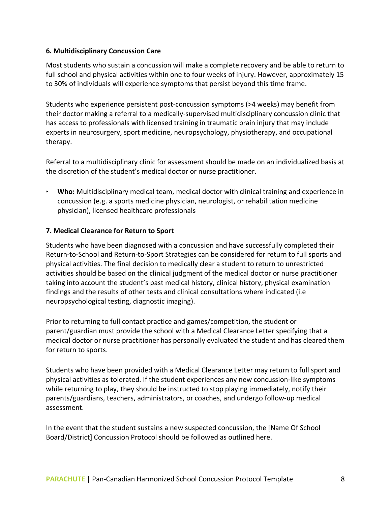## **6. Multidisciplinary Concussion Care**

Most students who sustain a concussion will make a complete recovery and be able to return to full school and physical activities within one to four weeks of injury. However, approximately 15 to 30% of individuals will experience symptoms that persist beyond this time frame.

Students who experience persistent post-concussion symptoms (>4 weeks) may benefit from their doctor making a referral to a medically-supervised multidisciplinary concussion clinic that has access to professionals with licensed training in traumatic brain injury that may include experts in neurosurgery, sport medicine, neuropsychology, physiotherapy, and occupational therapy.

Referral to a multidisciplinary clinic for assessment should be made on an individualized basis at the discretion of the student's medical doctor or nurse practitioner.

‣ **Who:** Multidisciplinary medical team, medical doctor with clinical training and experience in concussion (e.g. a sports medicine physician, neurologist, or rehabilitation medicine physician), licensed healthcare professionals

## **7. Medical Clearance for Return to Sport**

Students who have been diagnosed with a concussion and have successfully completed their Return-to-School and Return-to-Sport Strategies can be considered for return to full sports and physical activities. The final decision to medically clear a student to return to unrestricted activities should be based on the clinical judgment of the medical doctor or nurse practitioner taking into account the student's past medical history, clinical history, physical examination findings and the results of other tests and clinical consultations where indicated (i.e neuropsychological testing, diagnostic imaging).

Prior to returning to full contact practice and games/competition, the student or parent/guardian must provide the school with a Medical Clearance Letter specifying that a medical doctor or nurse practitioner has personally evaluated the student and has cleared them for return to sports.

Students who have been provided with a Medical Clearance Letter may return to full sport and physical activities as tolerated. If the student experiences any new concussion-like symptoms while returning to play, they should be instructed to stop playing immediately, notify their parents/guardians, teachers, administrators, or coaches, and undergo follow-up medical assessment.

In the event that the student sustains a new suspected concussion, the [Name Of School Board/District] Concussion Protocol should be followed as outlined here.